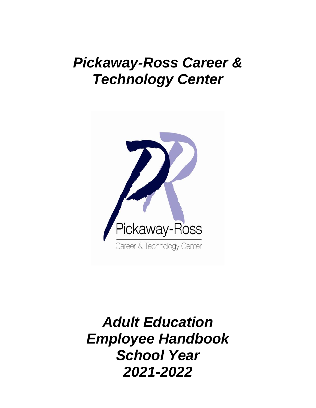# *Pickaway-Ross Career & Technology Center*



*Adult Education Employee Handbook School Year 2021-2022*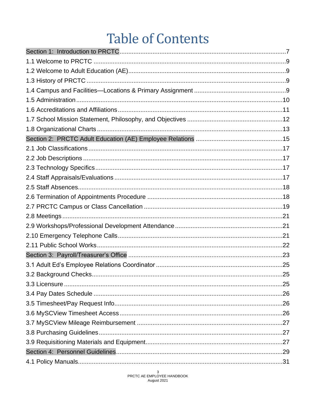# **Table of Contents**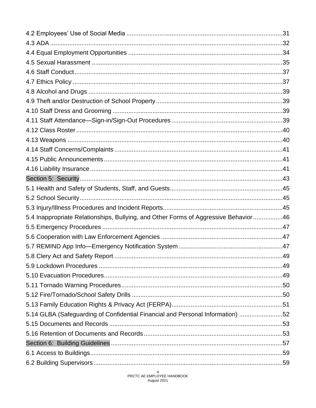| 5.4 Inappropriate Relationships, Bullying, and Other Forms of Aggressive Behavior46 |  |
|-------------------------------------------------------------------------------------|--|
|                                                                                     |  |
|                                                                                     |  |
|                                                                                     |  |
|                                                                                     |  |
|                                                                                     |  |
|                                                                                     |  |
|                                                                                     |  |
|                                                                                     |  |
|                                                                                     |  |
| 52.14 GLBA (Safeguarding of Confidential Financial and Personal Information) 52     |  |
|                                                                                     |  |
|                                                                                     |  |
|                                                                                     |  |
|                                                                                     |  |
|                                                                                     |  |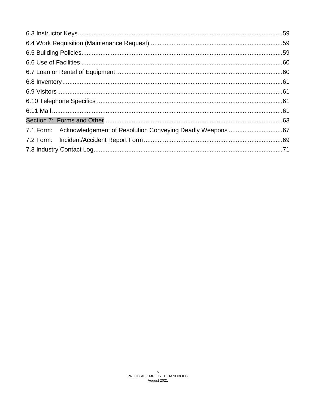| 7.1 Form: Acknowledgement of Resolution Conveying Deadly Weapons 67 |  |
|---------------------------------------------------------------------|--|
|                                                                     |  |
|                                                                     |  |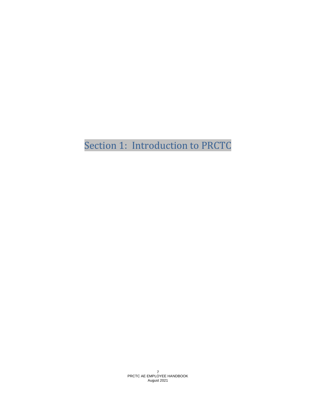# <span id="page-6-0"></span>Section 1: Introduction to PRCTC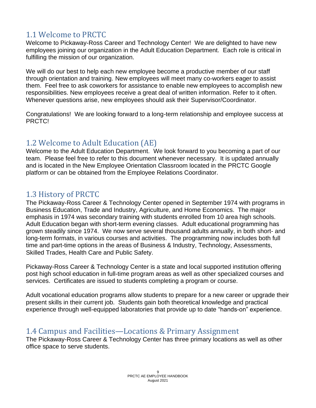# <span id="page-8-0"></span>1.1 Welcome to PRCTC

Welcome to Pickaway-Ross Career and Technology Center! We are delighted to have new employees joining our organization in the Adult Education Department. Each role is critical in fulfilling the mission of our organization.

We will do our best to help each new employee become a productive member of our staff through orientation and training. New employees will meet many co-workers eager to assist them. Feel free to ask coworkers for assistance to enable new employees to accomplish new responsibilities. New employees receive a great deal of written information. Refer to it often. Whenever questions arise, new employees should ask their Supervisor/Coordinator.

Congratulations! We are looking forward to a long-term relationship and employee success at PRCTC!

# <span id="page-8-1"></span>1.2 Welcome to Adult Education (AE)

Welcome to the Adult Education Department. We look forward to you becoming a part of our team. Please feel free to refer to this document whenever necessary. It is updated annually and is located in the New Employee Orientation Classroom located in the PRCTC Google platform or can be obtained from the Employee Relations Coordinator.

### <span id="page-8-2"></span>1.3 History of PRCTC

The Pickaway-Ross Career & Technology Center opened in September 1974 with programs in Business Education, Trade and Industry, Agriculture, and Home Economics. The major emphasis in 1974 was secondary training with students enrolled from 10 area high schools. Adult Education began with short-term evening classes. Adult educational programming has grown steadily since 1974. We now serve several thousand adults annually, in both short- and long-term formats, in various courses and activities. The programming now includes both full time and part-time options in the areas of Business & Industry, Technology, Assessments, Skilled Trades, Health Care and Public Safety.

Pickaway-Ross Career & Technology Center is a state and local supported institution offering post high school education in full-time program areas as well as other specialized courses and services. Certificates are issued to students completing a program or course.

Adult vocational education programs allow students to prepare for a new career or upgrade their present skills in their current job. Students gain both theoretical knowledge and practical experience through well-equipped laboratories that provide up to date "hands-on" experience.

### <span id="page-8-3"></span>1.4 Campus and Facilities—Locations & Primary Assignment

The Pickaway-Ross Career & Technology Center has three primary locations as well as other office space to serve students.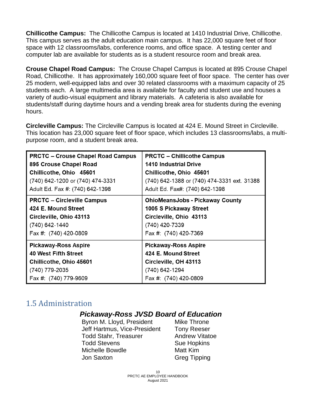**Chillicothe Campus:** The Chillicothe Campus is located at 1410 Industrial Drive, Chillicothe. This campus serves as the adult education main campus. It has 22,000 square feet of floor space with 12 classrooms/labs, conference rooms, and office space. A testing center and computer lab are available for students as is a student resource room and break area.

**Crouse Chapel Road Campus:** The Crouse Chapel Campus is located at 895 Crouse Chapel Road, Chillicothe. It has approximately 160,000 square feet of floor space. The center has over 25 modern, well-equipped labs and over 30 related classrooms with a maximum capacity of 25 students each. A large multimedia area is available for faculty and student use and houses a variety of audio-visual equipment and library materials. A cafeteria is also available for students/staff during daytime hours and a vending break area for students during the evening hours.

**Circleville Campus:** The Circleville Campus is located at 424 E. Mound Street in Circleville. This location has 23,000 square feet of floor space, which includes 13 classrooms/labs, a multipurpose room, and a student break area.

| <b>PRCTC - Crouse Chapel Road Campus</b> | <b>PRCTC - Chillicothe Campus</b>           |
|------------------------------------------|---------------------------------------------|
| 895 Crouse Chapel Road                   | <b>1410 Industrial Drive</b>                |
| Chillicothe, Ohio 45601                  | Chillicothe, Ohio 45601                     |
| (740) 642-1200 or (740) 474-3331         | (740) 642-1388 or (740) 474-3331 ext. 31388 |
| Adult Ed. Fax #: (740) 642-1398          | Adult Ed. Fax#: (740) 642-1398              |
| <b>PRCTC – Circleville Campus</b>        | <b>OhioMeansJobs - Pickaway County</b>      |
| 424 E. Mound Street                      | 1005 S Pickaway Street                      |
| Circleville, Ohio 43113                  | Circleville, Ohio 43113                     |
| (740) 642-1440                           | (740) 420-7339                              |
| Fax #: (740) 420-0809                    | Fax #: (740) 420-7369                       |
| <b>Pickaway-Ross Aspire</b>              | <b>Pickaway-Ross Aspire</b>                 |
| <b>40 West Fifth Street</b>              | 424 E. Mound Street                         |
| Chillicothe, Ohio 45601                  | Circleville, OH 43113                       |
| (740) 779-2035                           | (740) 642-1294                              |
| Fax #: (740) 779-9609                    | Fax #: (740) 420-0809                       |

### <span id="page-9-0"></span>1.5 Administration

#### *Pickaway-Ross JVSD Board of Education*

Byron M. Lloyd, President Mike Throne Jeff Hartmus, Vice-President Tony Reeser Todd Stahr, Treasurer **Andrew Vitatoe** Todd Stevens Sue Hopkins Michelle Bowdle **Matt Kim** Jon Saxton Greg Tipping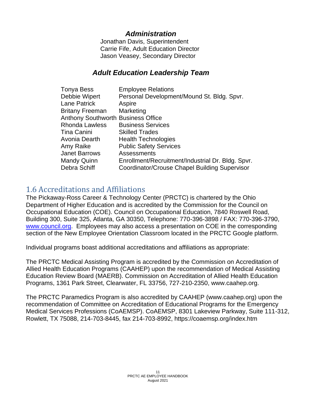### *Administration*

Jonathan Davis, Superintendent Carrie Fife, Adult Education Director Jason Veasey, Secondary Director

### *Adult Education Leadership Team*

| Tonya Bess                                | <b>Employee Relations</b>                         |
|-------------------------------------------|---------------------------------------------------|
| Debbie Wipert                             | Personal Development/Mound St. Bldg. Spvr.        |
| Lane Patrick                              | Aspire                                            |
| Britany Freeman                           | Marketing                                         |
| <b>Anthony Southworth Business Office</b> |                                                   |
| Rhonda Lawless                            | <b>Business Services</b>                          |
| Tina Canini                               | <b>Skilled Trades</b>                             |
| Avonia Dearth                             | <b>Health Technologies</b>                        |
| Amy Raike                                 | <b>Public Safety Services</b>                     |
| Janet Barrows                             | Assessments                                       |
| <b>Mandy Quinn</b>                        | Enrollment/Recruitment/Industrial Dr. Bldg. Spvr. |
| Debra Schiff                              | Coordinator/Crouse Chapel Building Supervisor     |

### <span id="page-10-0"></span>1.6 Accreditations and Affiliations

The Pickaway-Ross Career & Technology Center (PRCTC) is chartered by the Ohio Department of Higher Education and is accredited by the Commission for the Council on Occupational Education (COE). Council on Occupational Education, 7840 Roswell Road, Building 300, Suite 325, Atlanta, GA 30350, Telephone: 770-396-3898 / FAX: 770-396-3790, [www.council.org.](http://www.council.org/) Employees may also access a presentation on COE in the corresponding section of the New Employee Orientation Classroom located in the PRCTC Google platform.

Individual programs boast additional accreditations and affiliations as appropriate:

The PRCTC Medical Assisting Program is accredited by the Commission on Accreditation of Allied Health Education Programs (CAAHEP) upon the recommendation of Medical Assisting Education Review Board (MAERB). Commission on Accreditation of Allied Health Education Programs, 1361 Park Street, Clearwater, FL 33756, 727-210-2350, www.caahep.org.

The PRCTC Paramedics Program is also accredited by CAAHEP (www.caahep.org) upon the recommendation of Committee on Accreditation of Educational Programs for the Emergency Medical Services Professions (CoAEMSP). CoAEMSP, 8301 Lakeview Parkway, Suite 111-312, Rowlett, TX 75088, 214-703-8445, fax 214-703-8992, https://coaemsp.org/index.htm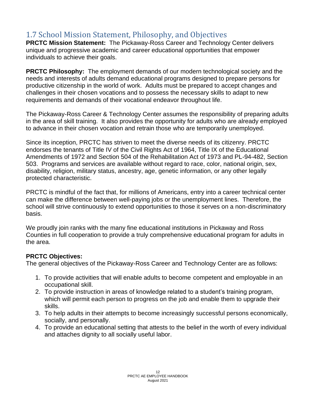# <span id="page-11-0"></span>1.7 School Mission Statement, Philosophy, and Objectives

**PRCTC Mission Statement:** The Pickaway-Ross Career and Technology Center delivers unique and progressive academic and career educational opportunities that empower individuals to achieve their goals.

**PRCTC Philosophy:** The employment demands of our modern technological society and the needs and interests of adults demand educational programs designed to prepare persons for productive citizenship in the world of work. Adults must be prepared to accept changes and challenges in their chosen vocations and to possess the necessary skills to adapt to new requirements and demands of their vocational endeavor throughout life.

The Pickaway-Ross Career & Technology Center assumes the responsibility of preparing adults in the area of skill training. It also provides the opportunity for adults who are already employed to advance in their chosen vocation and retrain those who are temporarily unemployed.

Since its inception, PRCTC has striven to meet the diverse needs of its citizenry. PRCTC endorses the tenants of Title IV of the Civil Rights Act of 1964, Title IX of the Educational Amendments of 1972 and Section 504 of the Rehabilitation Act of 1973 and PL-94-482, Section 503. Programs and services are available without regard to race, color, national origin, sex, disability, religion, military status, ancestry, age, genetic information, or any other legally protected characteristic.

PRCTC is mindful of the fact that, for millions of Americans, entry into a career technical center can make the difference between well-paying jobs or the unemployment lines. Therefore, the school will strive continuously to extend opportunities to those it serves on a non-discriminatory basis.

We proudly join ranks with the many fine educational institutions in Pickaway and Ross Counties in full cooperation to provide a truly comprehensive educational program for adults in the area.

#### **PRCTC Objectives:**

The general objectives of the Pickaway-Ross Career and Technology Center are as follows:

- 1. To provide activities that will enable adults to become competent and employable in an occupational skill.
- 2. To provide instruction in areas of knowledge related to a student's training program, which will permit each person to progress on the job and enable them to upgrade their skills.
- 3. To help adults in their attempts to become increasingly successful persons economically, socially, and personally.
- 4. To provide an educational setting that attests to the belief in the worth of every individual and attaches dignity to all socially useful labor.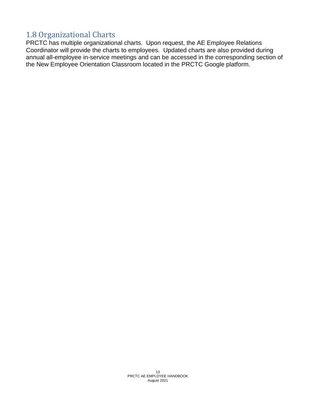### <span id="page-12-0"></span>1.8 Organizational Charts

PRCTC has multiple organizational charts. Upon request, the AE Employee Relations Coordinator will provide the charts to employees. Updated charts are also provided during annual all-employee in-service meetings and can be accessed in the corresponding section of the New Employee Orientation Classroom located in the PRCTC Google platform.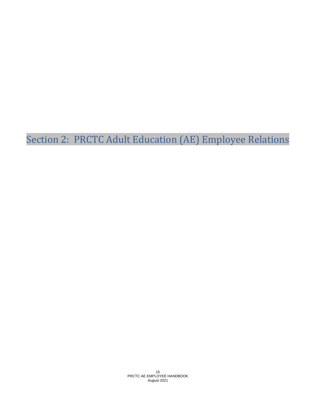<span id="page-14-0"></span>Section 2: PRCTC Adult Education (AE) Employee Relations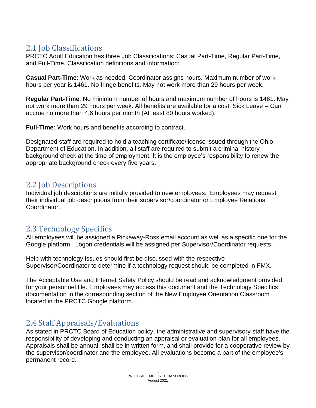# <span id="page-16-0"></span>2.1 Job Classifications

PRCTC Adult Education has three Job Classifications: Casual Part-Time, Regular Part-Time, and Full-Time. Classification definitions and information:

**Casual Part-Time**: Work as needed. Coordinator assigns hours. Maximum number of work hours per year is 1461. No fringe benefits. May not work more than 29 hours per week.

**Regular Part-Time**: No minimum number of hours and maximum number of hours is 1461. May not work more than 29 hours per week. All benefits are available for a cost. Sick Leave – Can accrue no more than 4.6 hours per month (At least 80 hours worked).

**Full-Time:** Work hours and benefits according to contract.

Designated staff are required to hold a teaching certificate/license issued through the Ohio Department of Education. In addition, all staff are required to submit a criminal history background check at the time of employment. It is the employee's responsibility to renew the appropriate background check every five years.

# <span id="page-16-1"></span>2.2 Job Descriptions

Individual job descriptions are initially provided to new employees. Employees may request their individual job descriptions from their supervisor/coordinator or Employee Relations Coordinator.

# <span id="page-16-2"></span>2.3 Technology Specifics

All employees will be assigned a Pickaway-Ross email account as well as a specific one for the Google platform. Logon credentials will be assigned per Supervisor/Coordinator requests.

Help with technology issues should first be discussed with the respective Supervisor/Coordinator to determine if a technology request should be completed in FMX.

The Acceptable Use and Internet Safety Policy should be read and acknowledgment provided for your personnel file. Employees may access this document and the Technology Specifics documentation in the corresponding section of the New Employee Orientation Classroom located in the PRCTC Google platform.

# <span id="page-16-3"></span>2.4 Staff Appraisals/Evaluations

As stated in PRCTC Board of Education policy, the administrative and supervisory staff have the responsibility of developing and conducting an appraisal or evaluation plan for all employees. Appraisals shall be annual, shall be in written form, and shall provide for a cooperative review by the supervisor/coordinator and the employee. All evaluations become a part of the employee's permanent record.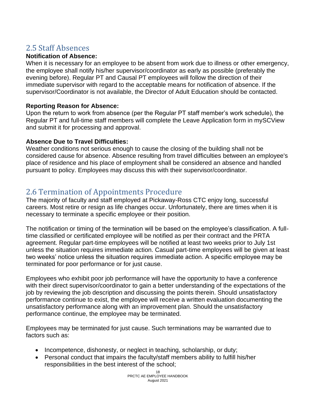# <span id="page-17-0"></span>2.5 Staff Absences

#### **Notification of Absence:**

When it is necessary for an employee to be absent from work due to illness or other emergency, the employee shall notify his/her supervisor/coordinator as early as possible (preferably the evening before). Regular PT and Causal PT employees will follow the direction of their immediate supervisor with regard to the acceptable means for notification of absence. If the supervisor/Coordinator is not available, the Director of Adult Education should be contacted.

#### **Reporting Reason for Absence:**

Upon the return to work from absence (per the Regular PT staff member's work schedule), the Regular PT and full-time staff members will complete the Leave Application form in mySCView and submit it for processing and approval.

#### **Absence Due to Travel Difficulties:**

Weather conditions not serious enough to cause the closing of the building shall not be considered cause for absence. Absence resulting from travel difficulties between an employee's place of residence and his place of employment shall be considered an absence and handled pursuant to policy. Employees may discuss this with their supervisor/coordinator.

### <span id="page-17-1"></span>2.6 Termination of Appointments Procedure

The majority of faculty and staff employed at Pickaway-Ross CTC enjoy long, successful careers. Most retire or resign as life changes occur. Unfortunately, there are times when it is necessary to terminate a specific employee or their position.

The notification or timing of the termination will be based on the employee's classification. A fulltime classified or certificated employee will be notified as per their contract and the PRTA agreement. Regular part-time employees will be notified at least two weeks prior to July 1st unless the situation requires immediate action. Casual part-time employees will be given at least two weeks' notice unless the situation requires immediate action. A specific employee may be terminated for poor performance or for just cause.

Employees who exhibit poor job performance will have the opportunity to have a conference with their direct supervisor/coordinator to gain a better understanding of the expectations of the job by reviewing the job description and discussing the points therein. Should unsatisfactory performance continue to exist, the employee will receive a written evaluation documenting the unsatisfactory performance along with an improvement plan. Should the unsatisfactory performance continue, the employee may be terminated.

Employees may be terminated for just cause. Such terminations may be warranted due to factors such as:

- Incompetence, dishonesty, or neglect in teaching, scholarship, or duty;
- Personal conduct that impairs the faculty/staff members ability to fulfill his/her responsibilities in the best interest of the school;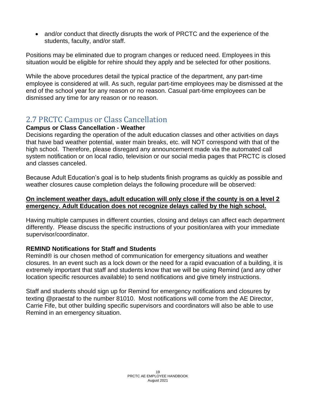• and/or conduct that directly disrupts the work of PRCTC and the experience of the students, faculty, and/or staff.

Positions may be eliminated due to program changes or reduced need. Employees in this situation would be eligible for rehire should they apply and be selected for other positions.

While the above procedures detail the typical practice of the department, any part-time employee is considered at will. As such, regular part-time employees may be dismissed at the end of the school year for any reason or no reason. Casual part-time employees can be dismissed any time for any reason or no reason.

# <span id="page-18-0"></span>2.7 PRCTC Campus or Class Cancellation

#### **Campus or Class Cancellation - Weather**

Decisions regarding the operation of the adult education classes and other activities on days that have bad weather potential, water main breaks, etc. will NOT correspond with that of the high school. Therefore, please disregard any announcement made via the automated call system notification or on local radio, television or our social media pages that PRCTC is closed and classes canceled.

Because Adult Education's goal is to help students finish programs as quickly as possible and weather closures cause completion delays the following procedure will be observed:

#### **On inclement weather days, adult education will only close if the county is on a level 2 emergency. Adult Education does not recognize delays called by the high school.**

Having multiple campuses in different counties, closing and delays can affect each department differently. Please discuss the specific instructions of your position/area with your immediate supervisor/coordinator.

#### **REMIND Notifications for Staff and Students**

Remind® is our chosen method of communication for emergency situations and weather closures. In an event such as a lock down or the need for a rapid evacuation of a building, it is extremely important that staff and students know that we will be using Remind (and any other location specific resources available) to send notifications and give timely instructions.

Staff and students should sign up for Remind for emergency notifications and closures by texting @praestaf to the number 81010. Most notifications will come from the AE Director, Carrie Fife, but other building specific supervisors and coordinators will also be able to use Remind in an emergency situation.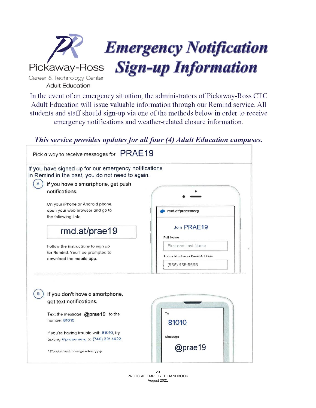

In the event of an emergency situation, the administrators of Pickaway-Ross CTC Adult Education will issue valuable information through our Remind service. All students and staff should sign-up via one of the methods below in order to receive emergency notifications and weather-related closure information.

### This service provides updates for all four (4) Adult Education campuses.

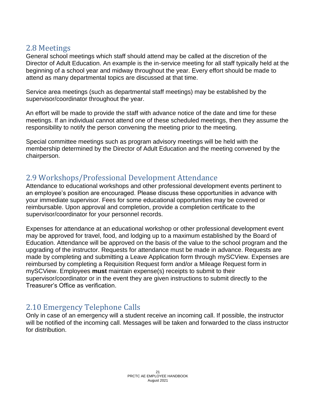### <span id="page-20-0"></span>2.8 Meetings

General school meetings which staff should attend may be called at the discretion of the Director of Adult Education. An example is the in-service meeting for all staff typically held at the beginning of a school year and midway throughout the year. Every effort should be made to attend as many departmental topics are discussed at that time.

Service area meetings (such as departmental staff meetings) may be established by the supervisor/coordinator throughout the year.

An effort will be made to provide the staff with advance notice of the date and time for these meetings. If an individual cannot attend one of these scheduled meetings, then they assume the responsibility to notify the person convening the meeting prior to the meeting.

Special committee meetings such as program advisory meetings will be held with the membership determined by the Director of Adult Education and the meeting convened by the chairperson.

### <span id="page-20-1"></span>2.9 Workshops/Professional Development Attendance

Attendance to educational workshops and other professional development events pertinent to an employee's position are encouraged. Please discuss these opportunities in advance with your immediate supervisor. Fees for some educational opportunities may be covered or reimbursable. Upon approval and completion, provide a completion certificate to the supervisor/coordinator for your personnel records.

Expenses for attendance at an educational workshop or other professional development event may be approved for travel, food, and lodging up to a maximum established by the Board of Education. Attendance will be approved on the basis of the value to the school program and the upgrading of the instructor. Requests for attendance must be made in advance. Requests are made by completing and submitting a Leave Application form through mySCView. Expenses are reimbursed by completing a Requisition Request form and/or a Mileage Request form in mySCView. Employees **must** maintain expense(s) receipts to submit to their supervisor/coordinator or in the event they are given instructions to submit directly to the Treasurer's Office as verification.

# <span id="page-20-2"></span>2.10 Emergency Telephone Calls

Only in case of an emergency will a student receive an incoming call. If possible, the instructor will be notified of the incoming call. Messages will be taken and forwarded to the class instructor for distribution.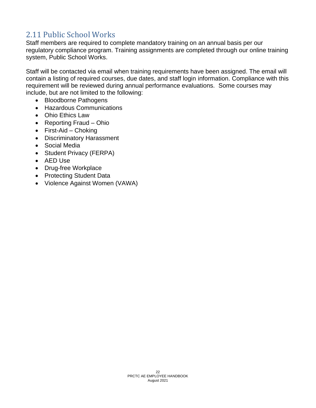# <span id="page-21-0"></span>2.11 Public School Works

Staff members are required to complete mandatory training on an annual basis per our regulatory compliance program. Training assignments are completed through our online training system, Public School Works.

Staff will be contacted via email when training requirements have been assigned. The email will contain a listing of required courses, due dates, and staff login information. Compliance with this requirement will be reviewed during annual performance evaluations. Some courses may include, but are not limited to the following:

- Bloodborne Pathogens
- Hazardous Communications
- Ohio Ethics Law
- Reporting Fraud Ohio
- First-Aid Choking
- Discriminatory Harassment
- Social Media
- Student Privacy (FERPA)
- AED Use
- Drug-free Workplace
- Protecting Student Data
- Violence Against Women (VAWA)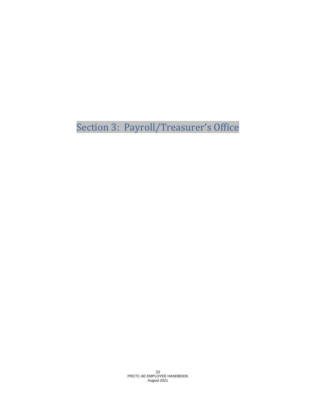# <span id="page-22-0"></span>Section 3: Payroll/Treasurer's Office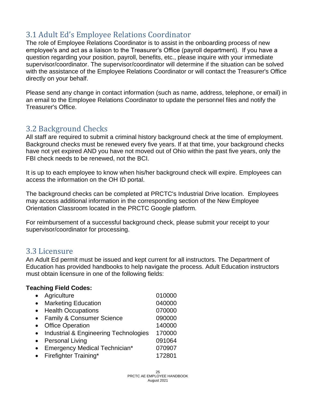# <span id="page-24-0"></span>3.1 Adult Ed's Employee Relations Coordinator

The role of Employee Relations Coordinator is to assist in the onboarding process of new employee's and act as a liaison to the Treasurer's Office (payroll department). If you have a question regarding your position, payroll, benefits, etc., please inquire with your immediate supervisor/coordinator. The supervisor/coordinator will determine if the situation can be solved with the assistance of the Employee Relations Coordinator or will contact the Treasurer's Office directly on your behalf.

Please send any change in contact information (such as name, address, telephone, or email) in an email to the Employee Relations Coordinator to update the personnel files and notify the Treasurer's Office.

# <span id="page-24-1"></span>3.2 Background Checks

All staff are required to submit a criminal history background check at the time of employment. Background checks must be renewed every five years. If at that time, your background checks have not yet expired AND you have not moved out of Ohio within the past five years, only the FBI check needs to be renewed, not the BCI.

It is up to each employee to know when his/her background check will expire. Employees can access the information on the OH ID portal.

The background checks can be completed at PRCTC's Industrial Drive location. Employees may access additional information in the corresponding section of the New Employee Orientation Classroom located in the PRCTC Google platform.

For reimbursement of a successful background check, please submit your receipt to your supervisor/coordinator for processing.

### <span id="page-24-2"></span>3.3 Licensure

An Adult Ed permit must be issued and kept current for all instructors. The Department of Education has provided handbooks to help navigate the process. Adult Education instructors must obtain licensure in one of the following fields:

#### **Teaching Field Codes:**

| Agriculture                                      | 010000 |
|--------------------------------------------------|--------|
| <b>Marketing Education</b>                       | 040000 |
| • Health Occupations                             | 070000 |
| Family & Consumer Science                        | 090000 |
| <b>Office Operation</b>                          | 140000 |
| <b>Industrial &amp; Engineering Technologies</b> | 170000 |
| <b>Personal Living</b>                           | 091064 |
| Emergency Medical Technician*                    | 070907 |
| Firefighter Training*                            | 172801 |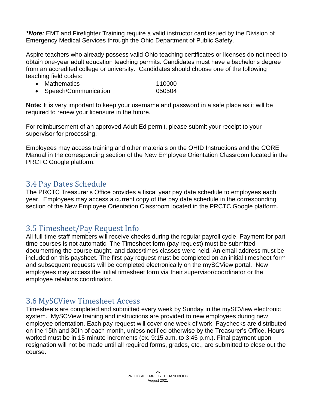*\*Note:* EMT and Firefighter Training require a valid instructor card issued by the Division of Emergency Medical Services through the Ohio Department of Public Safety.

Aspire teachers who already possess valid Ohio teaching certificates or licenses do not need to obtain one-year adult education teaching permits. Candidates must have a bachelor's degree from an accredited college or university. Candidates should choose one of the following teaching field codes:

| • Mathematics          | 110000 |
|------------------------|--------|
| • Speech/Communication | 050504 |

**Note:** It is very important to keep your username and password in a safe place as it will be required to renew your licensure in the future.

For reimbursement of an approved Adult Ed permit, please submit your receipt to your supervisor for processing.

Employees may access training and other materials on the OHID Instructions and the CORE Manual in the corresponding section of the New Employee Orientation Classroom located in the PRCTC Google platform.

### <span id="page-25-0"></span>3.4 Pay Dates Schedule

The PRCTC Treasurer's Office provides a fiscal year pay date schedule to employees each year. Employees may access a current copy of the pay date schedule in the corresponding section of the New Employee Orientation Classroom located in the PRCTC Google platform.

### <span id="page-25-1"></span>3.5 Timesheet/Pay Request Info

All full-time staff members will receive checks during the regular payroll cycle. Payment for parttime courses is not automatic. The Timesheet form (pay request) must be submitted documenting the course taught, and dates/times classes were held. An email address must be included on this paysheet. The first pay request must be completed on an initial timesheet form and subsequent requests will be completed electronically on the mySCView portal. New employees may access the initial timesheet form via their supervisor/coordinator or the employee relations coordinator.

# <span id="page-25-2"></span>3.6 MySCView Timesheet Access

Timesheets are completed and submitted every week by Sunday in the mySCView electronic system. MySCView training and instructions are provided to new employees during new employee orientation. Each pay request will cover one week of work. Paychecks are distributed on the 15th and 30th of each month, unless notified otherwise by the Treasurer's Office. Hours worked must be in 15-minute increments (ex. 9:15 a.m. to 3:45 p.m.). Final payment upon resignation will not be made until all required forms, grades, etc., are submitted to close out the course.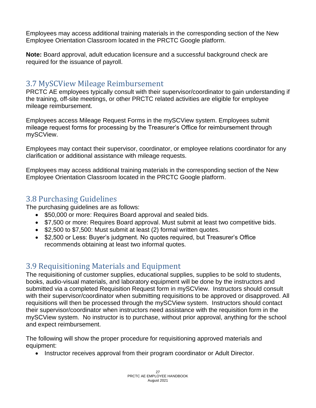Employees may access additional training materials in the corresponding section of the New Employee Orientation Classroom located in the PRCTC Google platform.

**Note:** Board approval, adult education licensure and a successful background check are required for the issuance of payroll.

### <span id="page-26-0"></span>3.7 MySCView Mileage Reimbursement

PRCTC AE employees typically consult with their supervisor/coordinator to gain understanding if the training, off-site meetings, or other PRCTC related activities are eligible for employee mileage reimbursement.

Employees access Mileage Request Forms in the mySCView system. Employees submit mileage request forms for processing by the Treasurer's Office for reimbursement through mySCView.

Employees may contact their supervisor, coordinator, or employee relations coordinator for any clarification or additional assistance with mileage requests.

Employees may access additional training materials in the corresponding section of the New Employee Orientation Classroom located in the PRCTC Google platform.

### <span id="page-26-1"></span>3.8 Purchasing Guidelines

The purchasing guidelines are as follows:

- \$50,000 or more: Requires Board approval and sealed bids.
- \$7,500 or more: Requires Board approval. Must submit at least two competitive bids.
- \$2,500 to \$7,500: Must submit at least (2) formal written quotes.
- \$2,500 or Less: Buyer's judgment. No quotes required, but Treasurer's Office recommends obtaining at least two informal quotes.

# <span id="page-26-2"></span>3.9 Requisitioning Materials and Equipment

The requisitioning of customer supplies, educational supplies, supplies to be sold to students, books, audio-visual materials, and laboratory equipment will be done by the instructors and submitted via a completed Requisition Request form in mySCView. Instructors should consult with their supervisor/coordinator when submitting requisitions to be approved or disapproved. All requisitions will then be processed through the mySCView system. Instructors should contact their supervisor/coordinator when instructors need assistance with the requisition form in the mySCView system. No instructor is to purchase, without prior approval, anything for the school and expect reimbursement.

The following will show the proper procedure for requisitioning approved materials and equipment:

• Instructor receives approval from their program coordinator or Adult Director.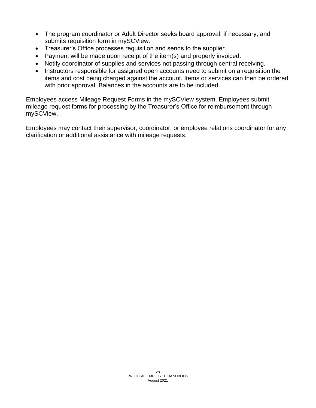- The program coordinator or Adult Director seeks board approval, if necessary, and submits requisition form in mySCView.
- Treasurer's Office processes requisition and sends to the supplier.
- Payment will be made upon receipt of the item(s) and properly invoiced.
- Notify coordinator of supplies and services not passing through central receiving.
- Instructors responsible for assigned open accounts need to submit on a requisition the items and cost being charged against the account. Items or services can then be ordered with prior approval. Balances in the accounts are to be included.

Employees access Mileage Request Forms in the mySCView system. Employees submit mileage request forms for processing by the Treasurer's Office for reimbursement through mySCView.

Employees may contact their supervisor, coordinator, or employee relations coordinator for any clarification or additional assistance with mileage requests.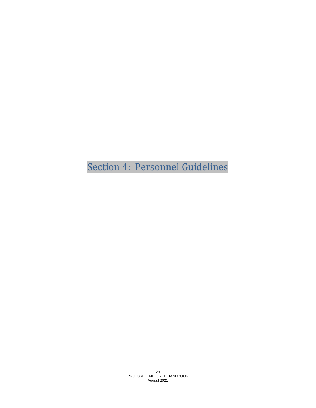<span id="page-28-0"></span>Section 4: Personnel Guidelines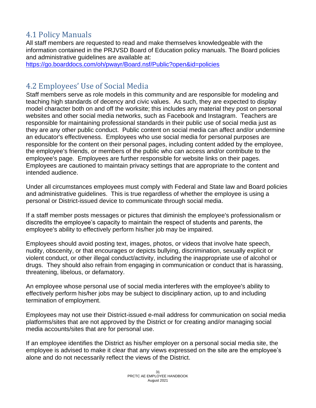# <span id="page-30-0"></span>4.1 Policy Manuals

All staff members are requested to read and make themselves knowledgeable with the information contained in the PRJVSD Board of Education policy manuals. The Board policies and administrative guidelines are available at:

<https://go.boarddocs.com/oh/pwayr/Board.nsf/Public?open&id=policies>

# <span id="page-30-1"></span>4.2 Employees' Use of Social Media

Staff members serve as role models in this community and are responsible for modeling and teaching high standards of decency and civic values. As such, they are expected to display model character both on and off the worksite; this includes any material they post on personal websites and other social media networks, such as Facebook and Instagram. Teachers are responsible for maintaining professional standards in their public use of social media just as they are any other public conduct. Public content on social media can affect and/or undermine an educator's effectiveness. Employees who use social media for personal purposes are responsible for the content on their personal pages, including content added by the employee, the employee's friends, or members of the public who can access and/or contribute to the employee's page. Employees are further responsible for website links on their pages. Employees are cautioned to maintain privacy settings that are appropriate to the content and intended audience.

Under all circumstances employees must comply with Federal and State law and Board policies and administrative guidelines. This is true regardless of whether the employee is using a personal or District-issued device to communicate through social media.

If a staff member posts messages or pictures that diminish the employee's professionalism or discredits the employee's capacity to maintain the respect of students and parents, the employee's ability to effectively perform his/her job may be impaired.

Employees should avoid posting text, images, photos, or videos that involve hate speech, nudity, obscenity, or that encourages or depicts bullying, discrimination, sexually explicit or violent conduct, or other illegal conduct/activity, including the inappropriate use of alcohol or drugs. They should also refrain from engaging in communication or conduct that is harassing, threatening, libelous, or defamatory.

An employee whose personal use of social media interferes with the employee's ability to effectively perform his/her jobs may be subject to disciplinary action, up to and including termination of employment.

Employees may not use their District-issued e-mail address for communication on social media platforms/sites that are not approved by the District or for creating and/or managing social media accounts/sites that are for personal use.

If an employee identifies the District as his/her employer on a personal social media site, the employee is advised to make it clear that any views expressed on the site are the employee's alone and do not necessarily reflect the views of the District.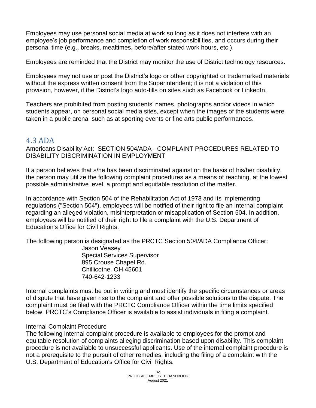Employees may use personal social media at work so long as it does not interfere with an employee's job performance and completion of work responsibilities, and occurs during their personal time (e.g., breaks, mealtimes, before/after stated work hours, etc.).

Employees are reminded that the District may monitor the use of District technology resources.

Employees may not use or post the District's logo or other copyrighted or trademarked materials without the express written consent from the Superintendent; it is not a violation of this provision, however, if the District's logo auto-fills on sites such as Facebook or LinkedIn.

Teachers are prohibited from posting students' names, photographs and/or videos in which students appear, on personal social media sites, except when the images of the students were taken in a public arena, such as at sporting events or fine arts public performances.

### <span id="page-31-0"></span>4.3 ADA

Americans Disability Act: SECTION 504/ADA - COMPLAINT PROCEDURES RELATED TO DISABILITY DISCRIMINATION IN EMPLOYMENT

If a person believes that s/he has been discriminated against on the basis of his/her disability, the person may utilize the following complaint procedures as a means of reaching, at the lowest possible administrative level, a prompt and equitable resolution of the matter.

In accordance with Section 504 of the Rehabilitation Act of 1973 and its implementing regulations ("Section 504"), employees will be notified of their right to file an internal complaint regarding an alleged violation, misinterpretation or misapplication of Section 504. In addition, employees will be notified of their right to file a complaint with the U.S. Department of Education's Office for Civil Rights.

The following person is designated as the PRCTC Section 504/ADA Compliance Officer:

Jason Veasey Special Services Supervisor 895 Crouse Chapel Rd. Chillicothe. OH 45601 740-642-1233

Internal complaints must be put in writing and must identify the specific circumstances or areas of dispute that have given rise to the complaint and offer possible solutions to the dispute. The complaint must be filed with the PRCTC Compliance Officer within the time limits specified below. PRCTC's Compliance Officer is available to assist individuals in filing a complaint.

#### Internal Complaint Procedure

The following internal complaint procedure is available to employees for the prompt and equitable resolution of complaints alleging discrimination based upon disability. This complaint procedure is not available to unsuccessful applicants. Use of the internal complaint procedure is not a prerequisite to the pursuit of other remedies, including the filing of a complaint with the U.S. Department of Education's Office for Civil Rights.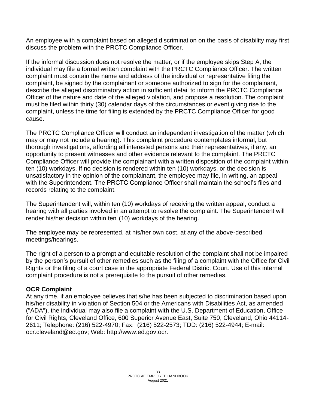An employee with a complaint based on alleged discrimination on the basis of disability may first discuss the problem with the PRCTC Compliance Officer.

If the informal discussion does not resolve the matter, or if the employee skips Step A, the individual may file a formal written complaint with the PRCTC Compliance Officer. The written complaint must contain the name and address of the individual or representative filing the complaint, be signed by the complainant or someone authorized to sign for the complainant, describe the alleged discriminatory action in sufficient detail to inform the PRCTC Compliance Officer of the nature and date of the alleged violation, and propose a resolution. The complaint must be filed within thirty (30) calendar days of the circumstances or event giving rise to the complaint, unless the time for filing is extended by the PRCTC Compliance Officer for good cause.

The PRCTC Compliance Officer will conduct an independent investigation of the matter (which may or may not include a hearing). This complaint procedure contemplates informal, but thorough investigations, affording all interested persons and their representatives, if any, an opportunity to present witnesses and other evidence relevant to the complaint. The PRCTC Compliance Officer will provide the complainant with a written disposition of the complaint within ten (10) workdays. If no decision is rendered within ten (10) workdays, or the decision is unsatisfactory in the opinion of the complainant, the employee may file, in writing, an appeal with the Superintendent. The PRCTC Compliance Officer shall maintain the school's files and records relating to the complaint.

The Superintendent will, within ten (10) workdays of receiving the written appeal, conduct a hearing with all parties involved in an attempt to resolve the complaint. The Superintendent will render his/her decision within ten (10) workdays of the hearing.

The employee may be represented, at his/her own cost, at any of the above-described meetings/hearings.

The right of a person to a prompt and equitable resolution of the complaint shall not be impaired by the person's pursuit of other remedies such as the filing of a complaint with the Office for Civil Rights or the filing of a court case in the appropriate Federal District Court. Use of this internal complaint procedure is not a prerequisite to the pursuit of other remedies.

#### **OCR Complaint**

At any time, if an employee believes that s/he has been subjected to discrimination based upon his/her disability in violation of Section 504 or the Americans with Disabilities Act, as amended ("ADA"), the individual may also file a complaint with the U.S. Department of Education, Office for Civil Rights, Cleveland Office, 600 Superior Avenue East, Suite 750, Cleveland, Ohio 44114- 2611; Telephone: (216) 522-4970; Fax: (216) 522-2573; TDD: (216) 522-4944; E-mail: ocr.cleveland@ed.gov; Web: http://www.ed.gov.ocr.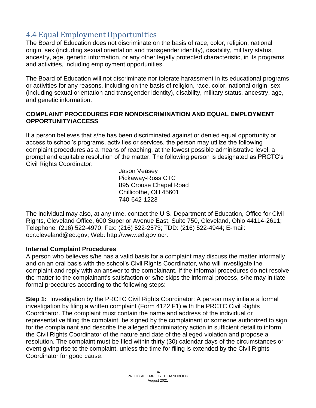# <span id="page-33-0"></span>4.4 Equal Employment Opportunities

The Board of Education does not discriminate on the basis of race, color, religion, national origin, sex (including sexual orientation and transgender identity), disability, military status, ancestry, age, genetic information, or any other legally protected characteristic, in its programs and activities, including employment opportunities.

The Board of Education will not discriminate nor tolerate harassment in its educational programs or activities for any reasons, including on the basis of religion, race, color, national origin, sex (including sexual orientation and transgender identity), disability, military status, ancestry, age, and genetic information.

#### **COMPLAINT PROCEDURES FOR NONDISCRIMINATION AND EQUAL EMPLOYMENT OPPORTUNITY/ACCESS**

If a person believes that s/he has been discriminated against or denied equal opportunity or access to school's programs, activities or services, the person may utilize the following complaint procedures as a means of reaching, at the lowest possible administrative level, a prompt and equitable resolution of the matter. The following person is designated as PRCTC's Civil Rights Coordinator:

> Jason Veasey Pickaway-Ross CTC 895 Crouse Chapel Road Chillicothe, OH 45601 740-642-1223

The individual may also, at any time, contact the U.S. Department of Education, Office for Civil Rights, Cleveland Office, 600 Superior Avenue East, Suite 750, Cleveland, Ohio 44114-2611; Telephone: (216) 522-4970; Fax: (216) 522-2573; TDD: (216) 522-4944; E-mail: ocr.cleveland@ed.gov; Web: http://www.ed.gov.ocr.

#### **Internal Complaint Procedures**

A person who believes s/he has a valid basis for a complaint may discuss the matter informally and on an oral basis with the school's Civil Rights Coordinator, who will investigate the complaint and reply with an answer to the complainant. If the informal procedures do not resolve the matter to the complainant's satisfaction or s/he skips the informal process, s/he may initiate formal procedures according to the following steps:

**Step 1:** Investigation by the PRCTC Civil Rights Coordinator: A person may initiate a formal investigation by filing a written complaint (Form 4122 F1) with the PRCTC Civil Rights Coordinator. The complaint must contain the name and address of the individual or representative filing the complaint, be signed by the complainant or someone authorized to sign for the complainant and describe the alleged discriminatory action in sufficient detail to inform the Civil Rights Coordinator of the nature and date of the alleged violation and propose a resolution. The complaint must be filed within thirty (30) calendar days of the circumstances or event giving rise to the complaint, unless the time for filing is extended by the Civil Rights Coordinator for good cause.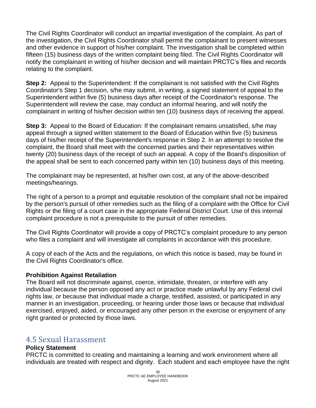The Civil Rights Coordinator will conduct an impartial investigation of the complaint. As part of the investigation, the Civil Rights Coordinator shall permit the complainant to present witnesses and other evidence in support of his/her complaint. The investigation shall be completed within fifteen (15) business days of the written complaint being filed. The Civil Rights Coordinator will notify the complainant in writing of his/her decision and will maintain PRCTC's files and records relating to the complaint.

**Step 2:** Appeal to the Superintendent: If the complainant is not satisfied with the Civil Rights Coordinator's Step 1 decision, s/he may submit, in writing, a signed statement of appeal to the Superintendent within five (5) business days after receipt of the Coordinator's response. The Superintendent will review the case, may conduct an informal hearing, and will notify the complainant in writing of his/her decision within ten (10) business days of receiving the appeal.

**Step 3:** Appeal to the Board of Education: If the complainant remains unsatisfied, s/he may appeal through a signed written statement to the Board of Education within five (5) business days of his/her receipt of the Superintendent's response in Step 2. In an attempt to resolve the complaint, the Board shall meet with the concerned parties and their representatives within twenty (20) business days of the receipt of such an appeal. A copy of the Board's disposition of the appeal shall be sent to each concerned party within ten (10) business days of this meeting.

The complainant may be represented, at his/her own cost, at any of the above-described meetings/hearings.

The right of a person to a prompt and equitable resolution of the complaint shall not be impaired by the person's pursuit of other remedies such as the filing of a complaint with the Office for Civil Rights or the filing of a court case in the appropriate Federal District Court. Use of this internal complaint procedure is not a prerequisite to the pursuit of other remedies.

The Civil Rights Coordinator will provide a copy of PRCTC's complaint procedure to any person who files a complaint and will investigate all complaints in accordance with this procedure.

A copy of each of the Acts and the regulations, on which this notice is based, may be found in the Civil Rights Coordinator's office.

#### **Prohibition Against Retaliation**

The Board will not discriminate against, coerce, intimidate, threaten, or interfere with any individual because the person opposed any act or practice made unlawful by any Federal civil rights law, or because that individual made a charge, testified, assisted, or participated in any manner in an investigation, proceeding, or hearing under those laws or because that individual exercised, enjoyed, aided, or encouraged any other person in the exercise or enjoyment of any right granted or protected by those laws.

### <span id="page-34-0"></span>4.5 Sexual Harassment

#### **Policy Statement**

PRCTC is committed to creating and maintaining a learning and work environment where all individuals are treated with respect and dignity. Each student and each employee have the right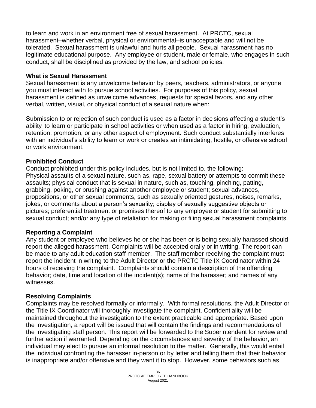to learn and work in an environment free of sexual harassment. At PRCTC, sexual harassment–whether verbal, physical or environmental–is unacceptable and will not be tolerated. Sexual harassment is unlawful and hurts all people. Sexual harassment has no legitimate educational purpose. Any employee or student, male or female, who engages in such conduct, shall be disciplined as provided by the law, and school policies.

#### **What is Sexual Harassment**

Sexual harassment is any unwelcome behavior by peers, teachers, administrators, or anyone you must interact with to pursue school activities. For purposes of this policy, sexual harassment is defined as unwelcome advances, requests for special favors, and any other verbal, written, visual, or physical conduct of a sexual nature when:

Submission to or rejection of such conduct is used as a factor in decisions affecting a student's ability to learn or participate in school activities or when used as a factor in hiring, evaluation, retention, promotion, or any other aspect of employment. Such conduct substantially interferes with an individual's ability to learn or work or creates an intimidating, hostile, or offensive school or work environment.

#### **Prohibited Conduct**

Conduct prohibited under this policy includes, but is not limited to, the following: Physical assaults of a sexual nature, such as, rape, sexual battery or attempts to commit these assaults; physical conduct that is sexual in nature, such as, touching, pinching, patting, grabbing, poking, or brushing against another employee or student; sexual advances, propositions, or other sexual comments, such as sexually oriented gestures, noises, remarks, jokes, or comments about a person's sexuality; display of sexually suggestive objects or pictures; preferential treatment or promises thereof to any employee or student for submitting to sexual conduct; and/or any type of retaliation for making or filing sexual harassment complaints.

#### **Reporting a Complaint**

Any student or employee who believes he or she has been or is being sexually harassed should report the alleged harassment. Complaints will be accepted orally or in writing. The report can be made to any adult education staff member. The staff member receiving the complaint must report the incident in writing to the Adult Director or the PRCTC Title IX Coordinator within 24 hours of receiving the complaint. Complaints should contain a description of the offending behavior; date, time and location of the incident(s); name of the harasser; and names of any witnesses.

#### **Resolving Complaints**

Complaints may be resolved formally or informally. With formal resolutions, the Adult Director or the Title IX Coordinator will thoroughly investigate the complaint. Confidentiality will be maintained throughout the investigation to the extent practicable and appropriate. Based upon the investigation, a report will be issued that will contain the findings and recommendations of the investigating staff person. This report will be forwarded to the Superintendent for review and further action if warranted. Depending on the circumstances and severity of the behavior, an individual may elect to pursue an informal resolution to the matter. Generally, this would entail the individual confronting the harasser in-person or by letter and telling them that their behavior is inappropriate and/or offensive and they want it to stop. However, some behaviors such as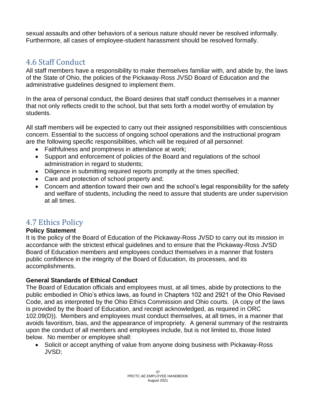sexual assaults and other behaviors of a serious nature should never be resolved informally. Furthermore, all cases of employee-student harassment should be resolved formally.

# 4.6 Staff Conduct

All staff members have a responsibility to make themselves familiar with, and abide by, the laws of the State of Ohio, the policies of the Pickaway-Ross JVSD Board of Education and the administrative guidelines designed to implement them.

In the area of personal conduct, the Board desires that staff conduct themselves in a manner that not only reflects credit to the school, but that sets forth a model worthy of emulation by students.

All staff members will be expected to carry out their assigned responsibilities with conscientious concern. Essential to the success of ongoing school operations and the instructional program are the following specific responsibilities, which will be required of all personnel:

- Faithfulness and promptness in attendance at work;
- Support and enforcement of policies of the Board and regulations of the school administration in regard to students;
- Diligence in submitting required reports promptly at the times specified;
- Care and protection of school property and;
- Concern and attention toward their own and the school's legal responsibility for the safety and welfare of students, including the need to assure that students are under supervision at all times.

# 4.7 Ethics Policy

#### **Policy Statement**

It is the policy of the Board of Education of the Pickaway-Ross JVSD to carry out its mission in accordance with the strictest ethical guidelines and to ensure that the Pickaway-Ross JVSD Board of Education members and employees conduct themselves in a manner that fosters public confidence in the integrity of the Board of Education, its processes, and its accomplishments.

#### **General Standards of Ethical Conduct**

The Board of Education officials and employees must, at all times, abide by protections to the public embodied in Ohio's ethics laws, as found in Chapters 102 and 2921 of the Ohio Revised Code, and as interpreted by the Ohio Ethics Commission and Ohio courts. (A copy of the laws is provided by the Board of Education, and receipt acknowledged, as required in ORC 102.09(D)). Members and employees must conduct themselves, at all times, in a manner that avoids favoritism, bias, and the appearance of impropriety. A general summary of the restraints upon the conduct of all members and employees include, but is not limited to, those listed below. No member or employee shall:

• Solicit or accept anything of value from anyone doing business with Pickaway-Ross JVSD;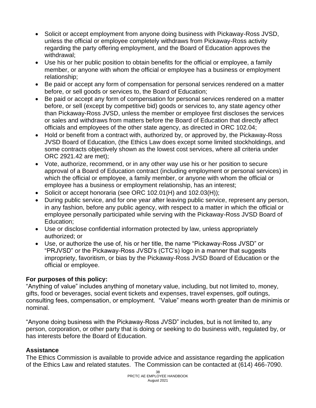- Solicit or accept employment from anyone doing business with Pickaway-Ross JVSD, unless the official or employee completely withdraws from Pickaway-Ross activity regarding the party offering employment, and the Board of Education approves the withdrawal;
- Use his or her public position to obtain benefits for the official or employee, a family member, or anyone with whom the official or employee has a business or employment relationship;
- Be paid or accept any form of compensation for personal services rendered on a matter before, or sell goods or services to, the Board of Education;
- Be paid or accept any form of compensation for personal services rendered on a matter before, or sell (except by competitive bid) goods or services to, any state agency other than Pickaway-Ross JVSD, unless the member or employee first discloses the services or sales and withdraws from matters before the Board of Education that directly affect officials and employees of the other state agency, as directed in ORC 102.04;
- Hold or benefit from a contract with, authorized by, or approved by, the Pickaway-Ross JVSD Board of Education, (the Ethics Law does except some limited stockholdings, and some contracts objectively shown as the lowest cost services, where all criteria under ORC 2921.42 are met);
- Vote, authorize, recommend, or in any other way use his or her position to secure approval of a Board of Education contract (including employment or personal services) in which the official or employee, a family member, or anyone with whom the official or employee has a business or employment relationship, has an interest;
- Solicit or accept honoraria (see ORC 102.01(H) and 102.03(H));
- During public service, and for one year after leaving public service, represent any person, in any fashion, before any public agency, with respect to a matter in which the official or employee personally participated while serving with the Pickaway-Ross JVSD Board of Education;
- Use or disclose confidential information protected by law, unless appropriately authorized; or
- Use, or authorize the use of, his or her title, the name "Pickaway-Ross JVSD" or "PRJVSD" or the Pickaway-Ross JVSD's (CTC's) logo in a manner that suggests impropriety, favoritism, or bias by the Pickaway-Ross JVSD Board of Education or the official or employee.

#### **For purposes of this policy:**

"Anything of value" includes anything of monetary value, including, but not limited to, money, gifts, food or beverages, social event tickets and expenses, travel expenses, golf outings, consulting fees, compensation, or employment. "Value" means worth greater than de minimis or nominal.

"Anyone doing business with the Pickaway-Ross JVSD" includes, but is not limited to, any person, corporation, or other party that is doing or seeking to do business with, regulated by, or has interests before the Board of Education.

#### **Assistance**

The Ethics Commission is available to provide advice and assistance regarding the application of the Ethics Law and related statutes. The Commission can be contacted at (614) 466-7090.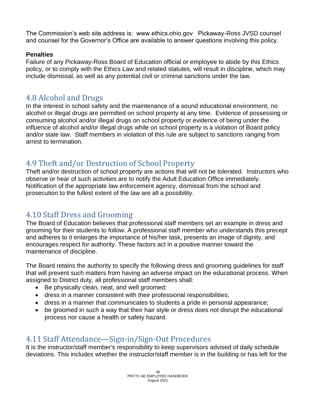The Commission's web site address is: www.ethics.ohio.gov Pickaway-Ross JVSD counsel and counsel for the Governor's Office are available to answer questions involving this policy.

#### **Penalties**

Failure of any Pickaway-Ross Board of Education official or employee to abide by this Ethics policy, or to comply with the Ethics Law and related statutes, will result in discipline, which may include dismissal, as well as any potential civil or criminal sanctions under the law.

### 4.8 Alcohol and Drugs

In the interest in school safety and the maintenance of a sound educational environment, no alcohol or illegal drugs are permitted on school property at any time. Evidence of possessing or consuming alcohol and/or illegal drugs on school property or evidence of being under the influence of alcohol and/or illegal drugs while on school property is a violation of Board policy and/or state law. Staff members in violation of this rule are subject to sanctions ranging from arrest to termination.

### 4.9 Theft and/or Destruction of School Property

Theft and/or destruction of school property are actions that will not be tolerated. Instructors who observe or hear of such activities are to notify the Adult Education Office immediately. Notification of the appropriate law enforcement agency, dismissal from the school and prosecution to the fullest extent of the law are all a possibility.

### 4.10 Staff Dress and Grooming

The Board of Education believes that professional staff members set an example in dress and grooming for their students to follow. A professional staff member who understands this precept and adheres to it enlarges the importance of his/her task, presents an image of dignity, and encourages respect for authority. These factors act in a positive manner toward the maintenance of discipline.

The Board retains the authority to specify the following dress and grooming guidelines for staff that will prevent such matters from having an adverse impact on the educational process. When assigned to District duty, all professional staff members shall:

- Be physically clean, neat, and well groomed;
- dress in a manner consistent with their professional responsibilities;
- dress in a manner that communicates to students a pride in personal appearance;
- be groomed in such a way that their hair style or dress does not disrupt the educational process nor cause a health or safety hazard.

### 4.11 Staff Attendance—Sign-in/Sign-Out Procedures

It is the instructor/staff member's responsibility to keep supervisors advised of daily schedule deviations. This includes whether the instructor/staff member is in the building or has left for the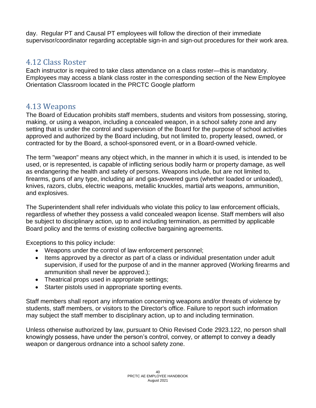day. Regular PT and Causal PT employees will follow the direction of their immediate supervisor/coordinator regarding acceptable sign-in and sign-out procedures for their work area.

# 4.12 Class Roster

Each instructor is required to take class attendance on a class roster—this is mandatory. Employees may access a blank class roster in the corresponding section of the New Employee Orientation Classroom located in the PRCTC Google platform

### 4.13 Weapons

The Board of Education prohibits staff members, students and visitors from possessing, storing, making, or using a weapon, including a concealed weapon, in a school safety zone and any setting that is under the control and supervision of the Board for the purpose of school activities approved and authorized by the Board including, but not limited to, property leased, owned, or contracted for by the Board, a school-sponsored event, or in a Board-owned vehicle.

The term "weapon" means any object which, in the manner in which it is used, is intended to be used, or is represented, is capable of inflicting serious bodily harm or property damage, as well as endangering the health and safety of persons. Weapons include, but are not limited to, firearms, guns of any type, including air and gas-powered guns (whether loaded or unloaded), knives, razors, clubs, electric weapons, metallic knuckles, martial arts weapons, ammunition, and explosives.

The Superintendent shall refer individuals who violate this policy to law enforcement officials, regardless of whether they possess a valid concealed weapon license. Staff members will also be subject to disciplinary action, up to and including termination, as permitted by applicable Board policy and the terms of existing collective bargaining agreements.

Exceptions to this policy include:

- Weapons under the control of law enforcement personnel;
- Items approved by a director as part of a class or individual presentation under adult supervision, if used for the purpose of and in the manner approved (Working firearms and ammunition shall never be approved.);
- Theatrical props used in appropriate settings;
- Starter pistols used in appropriate sporting events.

Staff members shall report any information concerning weapons and/or threats of violence by students, staff members, or visitors to the Director's office. Failure to report such information may subject the staff member to disciplinary action, up to and including termination.

Unless otherwise authorized by law, pursuant to Ohio Revised Code 2923.122, no person shall knowingly possess, have under the person's control, convey, or attempt to convey a deadly weapon or dangerous ordnance into a school safety zone.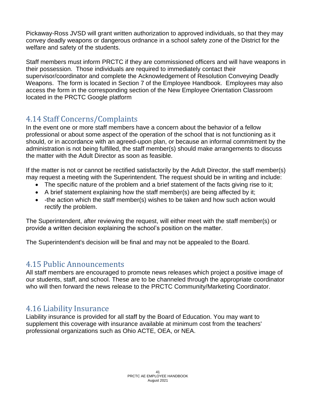Pickaway-Ross JVSD will grant written authorization to approved individuals, so that they may convey deadly weapons or dangerous ordnance in a school safety zone of the District for the welfare and safety of the students.

Staff members must inform PRCTC if they are commissioned officers and will have weapons in their possession. Those individuals are required to immediately contact their supervisor/coordinator and complete the Acknowledgement of Resolution Conveying Deadly Weapons. The form is located in Section 7 of the Employee Handbook. Employees may also access the form in the corresponding section of the New Employee Orientation Classroom located in the PRCTC Google platform

# 4.14 Staff Concerns/Complaints

In the event one or more staff members have a concern about the behavior of a fellow professional or about some aspect of the operation of the school that is not functioning as it should, or in accordance with an agreed-upon plan, or because an informal commitment by the administration is not being fulfilled, the staff member(s) should make arrangements to discuss the matter with the Adult Director as soon as feasible.

If the matter is not or cannot be rectified satisfactorily by the Adult Director, the staff member(s) may request a meeting with the Superintendent. The request should be in writing and include:

- The specific nature of the problem and a brief statement of the facts giving rise to it;
- A brief statement explaining how the staff member(s) are being affected by it;
- -the action which the staff member(s) wishes to be taken and how such action would rectify the problem.

The Superintendent, after reviewing the request, will either meet with the staff member(s) or provide a written decision explaining the school's position on the matter.

The Superintendent's decision will be final and may not be appealed to the Board.

# 4.15 Public Announcements

All staff members are encouraged to promote news releases which project a positive image of our students, staff, and school. These are to be channeled through the appropriate coordinator who will then forward the news release to the PRCTC Community/Marketing Coordinator.

# 4.16 Liability Insurance

Liability insurance is provided for all staff by the Board of Education. You may want to supplement this coverage with insurance available at minimum cost from the teachers' professional organizations such as Ohio ACTE, OEA, or NEA.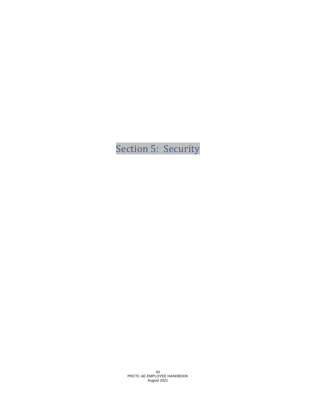# Section 5: Security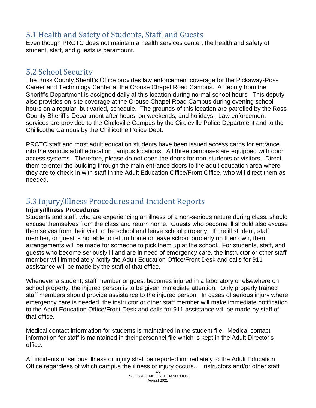# 5.1 Health and Safety of Students, Staff, and Guests

Even though PRCTC does not maintain a health services center, the health and safety of student, staff, and guests is paramount.

# 5.2 School Security

The Ross County Sheriff's Office provides law enforcement coverage for the Pickaway-Ross Career and Technology Center at the Crouse Chapel Road Campus. A deputy from the Sheriff's Department is assigned daily at this location during normal school hours. This deputy also provides on-site coverage at the Crouse Chapel Road Campus during evening school hours on a regular, but varied, schedule. The grounds of this location are patrolled by the Ross County Sheriff's Department after hours, on weekends, and holidays. Law enforcement services are provided to the Circleville Campus by the Circleville Police Department and to the Chillicothe Campus by the Chillicothe Police Dept.

PRCTC staff and most adult education students have been issued access cards for entrance into the various adult education campus locations. All three campuses are equipped with door access systems. Therefore, please do not open the doors for non-students or visitors. Direct them to enter the building through the main entrance doors to the adult education area where they are to check-in with staff in the Adult Education Office/Front Office, who will direct them as needed.

# 5.3 Injury/Illness Procedures and Incident Reports

#### **Injury/Illness Procedures**

Students and staff, who are experiencing an illness of a non-serious nature during class, should excuse themselves from the class and return home. Guests who become ill should also excuse themselves from their visit to the school and leave school property. If the ill student, staff member, or guest is not able to return home or leave school property on their own, then arrangements will be made for someone to pick them up at the school. For students, staff, and guests who become seriously ill and are in need of emergency care, the instructor or other staff member will immediately notify the Adult Education Office/Front Desk and calls for 911 assistance will be made by the staff of that office.

Whenever a student, staff member or guest becomes injured in a laboratory or elsewhere on school property, the injured person is to be given immediate attention. Only properly trained staff members should provide assistance to the injured person. In cases of serious injury where emergency care is needed, the instructor or other staff member will make immediate notification to the Adult Education Office/Front Desk and calls for 911 assistance will be made by staff of that office.

Medical contact information for students is maintained in the student file. Medical contact information for staff is maintained in their personnel file which is kept in the Adult Director's office.

All incidents of serious illness or injury shall be reported immediately to the Adult Education Office regardless of which campus the illness or injury occurs.. Instructors and/or other staff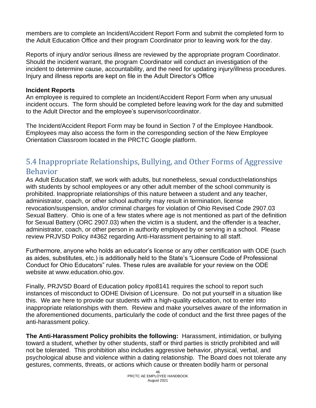members are to complete an Incident/Accident Report Form and submit the completed form to the Adult Education Office and their program Coordinator prior to leaving work for the day.

Reports of injury and/or serious illness are reviewed by the appropriate program Coordinator. Should the incident warrant, the program Coordinator will conduct an investigation of the incident to determine cause, accountability, and the need for updating injury/illness procedures. Injury and illness reports are kept on file in the Adult Director's Office

#### **Incident Reports**

An employee is required to complete an Incident/Accident Report Form when any unusual incident occurs. The form should be completed before leaving work for the day and submitted to the Adult Director and the employee's supervisor/coordinator.

The Incident/Accident Report Form may be found in Section 7 of the Employee Handbook. Employees may also access the form in the corresponding section of the New Employee Orientation Classroom located in the PRCTC Google platform.

# 5.4 Inappropriate Relationships, Bullying, and Other Forms of Aggressive Behavior

As Adult Education staff, we work with adults, but nonetheless, sexual conduct/relationships with students by school employees or any other adult member of the school community is prohibited. Inappropriate relationships of this nature between a student and any teacher, administrator, coach, or other school authority may result in termination, license revocation/suspension, and/or criminal charges for violation of Ohio Revised Code 2907.03 Sexual Battery. Ohio is one of a few states where age is not mentioned as part of the definition for Sexual Battery (ORC 2907.03) when the victim is a student, and the offender is a teacher, administrator, coach, or other person in authority employed by or serving in a school. Please review PRJVSD Policy #4362 regarding Anti-Harassment pertaining to all staff.

Furthermore, anyone who holds an educator's license or any other certification with ODE (such as aides, substitutes, etc.) is additionally held to the State's "Licensure Code of Professional Conduct for Ohio Educators" rules. These rules are available for your review on the ODE website at www.education.ohio.gov.

Finally, PRJVSD Board of Education policy #po8141 requires the school to report such instances of misconduct to ODHE Division of Licensure. Do not put yourself in a situation like this. We are here to provide our students with a high-quality education, not to enter into inappropriate relationships with them. Review and make yourselves aware of the information in the aforementioned documents, particularly the code of conduct and the first three pages of the anti-harassment policy.

**The Anti-Harassment Policy prohibits the following:** Harassment, intimidation, or bullying toward a student, whether by other students, staff or third parties is strictly prohibited and will not be tolerated. This prohibition also includes aggressive behavior, physical, verbal, and psychological abuse and violence within a dating relationship. The Board does not tolerate any gestures, comments, threats, or actions which cause or threaten bodily harm or personal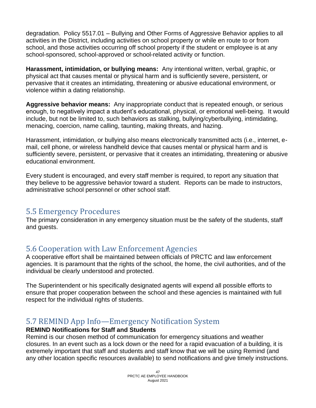degradation. Policy 5517.01 – Bullying and Other Forms of Aggressive Behavior applies to all activities in the District, including activities on school property or while en route to or from school, and those activities occurring off school property if the student or employee is at any school-sponsored, school-approved or school-related activity or function.

**Harassment, intimidation, or bullying means:** Any intentional written, verbal, graphic, or physical act that causes mental or physical harm and is sufficiently severe, persistent, or pervasive that it creates an intimidating, threatening or abusive educational environment, or violence within a dating relationship.

**Aggressive behavior means:** Any inappropriate conduct that is repeated enough, or serious enough, to negatively impact a student's educational, physical, or emotional well-being. It would include, but not be limited to, such behaviors as stalking, bullying/cyberbullying, intimidating, menacing, coercion, name calling, taunting, making threats, and hazing.

Harassment, intimidation, or bullying also means electronically transmitted acts (i.e., internet, email, cell phone, or wireless handheld device that causes mental or physical harm and is sufficiently severe, persistent, or pervasive that it creates an intimidating, threatening or abusive educational environment.

Every student is encouraged, and every staff member is required, to report any situation that they believe to be aggressive behavior toward a student. Reports can be made to instructors, administrative school personnel or other school staff.

### 5.5 Emergency Procedures

The primary consideration in any emergency situation must be the safety of the students, staff and guests.

# 5.6 Cooperation with Law Enforcement Agencies

A cooperative effort shall be maintained between officials of PRCTC and law enforcement agencies. It is paramount that the rights of the school, the home, the civil authorities, and of the individual be clearly understood and protected.

The Superintendent or his specifically designated agents will expend all possible efforts to ensure that proper cooperation between the school and these agencies is maintained with full respect for the individual rights of students.

# 5.7 REMIND App Info—Emergency Notification System

#### **REMIND Notifications for Staff and Students**

Remind is our chosen method of communication for emergency situations and weather closures. In an event such as a lock down or the need for a rapid evacuation of a building, it is extremely important that staff and students and staff know that we will be using Remind (and any other location specific resources available) to send notifications and give timely instructions.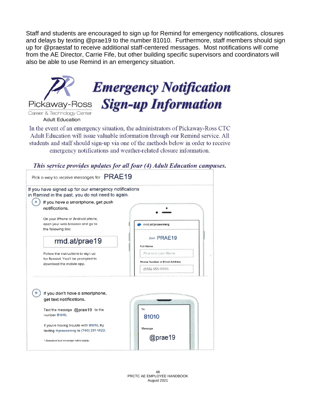Staff and students are encouraged to sign up for Remind for emergency notifications, closures and delays by texting @prae19 to the number 81010. Furthermore, staff members should sign up for @praestaf to receive additional staff-centered messages. Most notifications will come from the AE Director, Carrie Fife, but other building specific supervisors and coordinators will also be able to use Remind in an emergency situation.



In the event of an emergency situation, the administrators of Pickaway-Ross CTC Adult Education will issue valuable information through our Remind service. All students and staff should sign-up via one of the methods below in order to receive emergency notifications and weather-related closure information.

Pick a way to receive messages for PRAE19 If you have signed up for our emergency notifications in Remind in the past, you do not need to again.  $(A)$  If you have a smartphone, get push notifications. On your iPhone or Android phone, open your web browser and go to md.at/praeemerg the following link: Join PRAE19 rmd.at/prae19 **Full Name** First and Last Name Follow the instructions to sign up for Remind. You'll be prompted to Phone Number or Email Address download the mobile app.  $(555) 555 - 5555$ B If you don't have a smartphone, get text notifications. To Text the message @prae19 to the number 81010. 81010 If you're having trouble with 81010, try Message texting @praeemerg to (740) 231-1422. @prae19 \* Standard text message rates apply.

This service provides updates for all four (4) Adult Education campuses.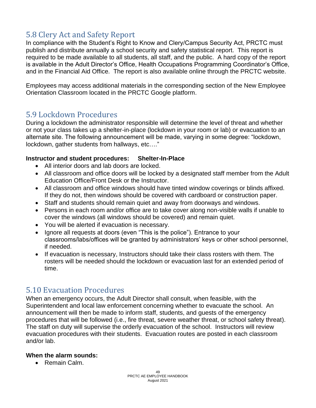# 5.8 Clery Act and Safety Report

In compliance with the Student's Right to Know and Clery/Campus Security Act, PRCTC must publish and distribute annually a school security and safety statistical report. This report is required to be made available to all students, all staff, and the public. A hard copy of the report is available in the Adult Director's Office, Health Occupations Programming Coordinator's Office, and in the Financial Aid Office. The report is also available online through the PRCTC website.

Employees may access additional materials in the corresponding section of the New Employee Orientation Classroom located in the PRCTC Google platform.

# 5.9 Lockdown Procedures

During a lockdown the administrator responsible will determine the level of threat and whether or not your class takes up a shelter-in-place (lockdown in your room or lab) or evacuation to an alternate site. The following announcement will be made, varying in some degree: "lockdown, lockdown, gather students from hallways, etc…."

#### **Instructor and student procedures: Shelter-In-Place**

- All interior doors and lab doors are locked.
- All classroom and office doors will be locked by a designated staff member from the Adult Education Office/Front Desk or the Instructor.
- All classroom and office windows should have tinted window coverings or blinds affixed. If they do not, then windows should be covered with cardboard or construction paper.
- Staff and students should remain quiet and away from doorways and windows.
- Persons in each room and/or office are to take cover along non-visible walls if unable to cover the windows (all windows should be covered) and remain quiet.
- You will be alerted if evacuation is necessary.
- Ignore all requests at doors (even "This is the police"). Entrance to your classrooms/labs/offices will be granted by administrators' keys or other school personnel, if needed.
- If evacuation is necessary, Instructors should take their class rosters with them. The rosters will be needed should the lockdown or evacuation last for an extended period of time.

### 5.10 Evacuation Procedures

When an emergency occurs, the Adult Director shall consult, when feasible, with the Superintendent and local law enforcement concerning whether to evacuate the school. An announcement will then be made to inform staff, students, and guests of the emergency procedures that will be followed (i.e., fire threat, severe weather threat, or school safety threat). The staff on duty will supervise the orderly evacuation of the school. Instructors will review evacuation procedures with their students. Evacuation routes are posted in each classroom and/or lab.

#### **When the alarm sounds:**

• Remain Calm.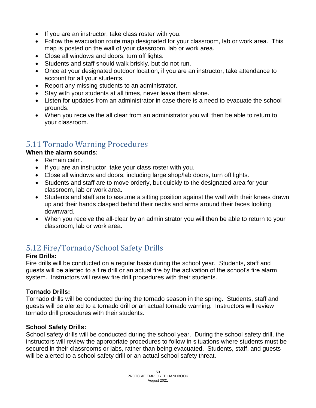- If you are an instructor, take class roster with you.
- Follow the evacuation route map designated for your classroom, lab or work area. This map is posted on the wall of your classroom, lab or work area.
- Close all windows and doors, turn off lights.
- Students and staff should walk briskly, but do not run.
- Once at your designated outdoor location, if you are an instructor, take attendance to account for all your students.
- Report any missing students to an administrator.
- Stay with your students at all times, never leave them alone.
- Listen for updates from an administrator in case there is a need to evacuate the school grounds.
- When you receive the all clear from an administrator you will then be able to return to your classroom.

# 5.11 Tornado Warning Procedures

#### **When the alarm sounds:**

- Remain calm.
- If you are an instructor, take your class roster with you.
- Close all windows and doors, including large shop/lab doors, turn off lights.
- Students and staff are to move orderly, but quickly to the designated area for your classroom, lab or work area.
- Students and staff are to assume a sitting position against the wall with their knees drawn up and their hands clasped behind their necks and arms around their faces looking downward.
- When you receive the all-clear by an administrator you will then be able to return to your classroom, lab or work area.

# 5.12 Fire/Tornado/School Safety Drills

#### **Fire Drills:**

Fire drills will be conducted on a regular basis during the school year. Students, staff and guests will be alerted to a fire drill or an actual fire by the activation of the school's fire alarm system. Instructors will review fire drill procedures with their students.

#### **Tornado Drills:**

Tornado drills will be conducted during the tornado season in the spring. Students, staff and guests will be alerted to a tornado drill or an actual tornado warning. Instructors will review tornado drill procedures with their students.

#### **School Safety Drills:**

School safety drills will be conducted during the school year. During the school safety drill, the instructors will review the appropriate procedures to follow in situations where students must be secured in their classrooms or labs, rather than being evacuated. Students, staff, and guests will be alerted to a school safety drill or an actual school safety threat.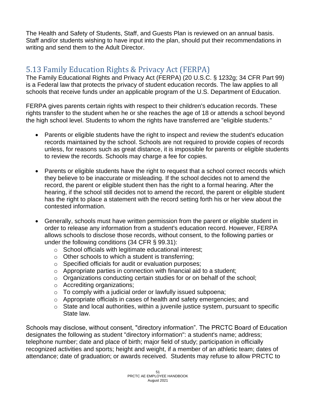The Health and Safety of Students, Staff, and Guests Plan is reviewed on an annual basis. Staff and/or students wishing to have input into the plan, should put their recommendations in writing and send them to the Adult Director.

# 5.13 Family Education Rights & Privacy Act (FERPA)

The Family Educational Rights and Privacy Act (FERPA) (20 U.S.C. § 1232g; 34 CFR Part 99) is a Federal law that protects the privacy of student education records. The law applies to all schools that receive funds under an applicable program of the U.S. Department of Education.

FERPA gives parents certain rights with respect to their children's education records. These rights transfer to the student when he or she reaches the age of 18 or attends a school beyond the high school level. Students to whom the rights have transferred are "eligible students."

- Parents or eligible students have the right to inspect and review the student's education records maintained by the school. Schools are not required to provide copies of records unless, for reasons such as great distance, it is impossible for parents or eligible students to review the records. Schools may charge a fee for copies.
- Parents or eligible students have the right to request that a school correct records which they believe to be inaccurate or misleading. If the school decides not to amend the record, the parent or eligible student then has the right to a formal hearing. After the hearing, if the school still decides not to amend the record, the parent or eligible student has the right to place a statement with the record setting forth his or her view about the contested information.
- Generally, schools must have written permission from the parent or eligible student in order to release any information from a student's education record. However, FERPA allows schools to disclose those records, without consent, to the following parties or under the following conditions (34 CFR § 99.31):
	- o School officials with legitimate educational interest;
	- o Other schools to which a student is transferring;
	- o Specified officials for audit or evaluation purposes;
	- $\circ$  Appropriate parties in connection with financial aid to a student;
	- o Organizations conducting certain studies for or on behalf of the school;
	- o Accrediting organizations;
	- $\circ$  To comply with a judicial order or lawfully issued subpoena;
	- $\circ$  Appropriate officials in cases of health and safety emergencies; and
	- o State and local authorities, within a juvenile justice system, pursuant to specific State law.

Schools may disclose, without consent, "directory information". The PRCTC Board of Education designates the following as student "directory information": a student's name; address; telephone number; date and place of birth; major field of study; participation in officially recognized activities and sports; height and weight, if a member of an athletic team; dates of attendance; date of graduation; or awards received. Students may refuse to allow PRCTC to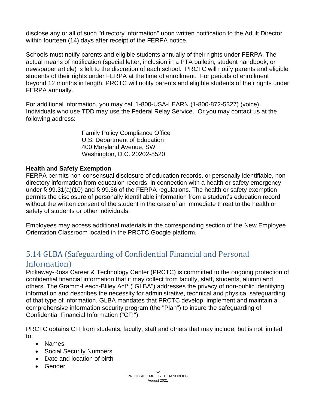disclose any or all of such "directory information" upon written notification to the Adult Director within fourteen (14) days after receipt of the FERPA notice.

Schools must notify parents and eligible students annually of their rights under FERPA. The actual means of notification (special letter, inclusion in a PTA bulletin, student handbook, or newspaper article) is left to the discretion of each school. PRCTC will notify parents and eligible students of their rights under FERPA at the time of enrollment. For periods of enrollment beyond 12 months in length, PRCTC will notify parents and eligible students of their rights under FERPA annually.

For additional information, you may call 1-800-USA-LEARN (1-800-872-5327) (voice). Individuals who use TDD may use the Federal Relay Service. Or you may contact us at the following address:

> Family Policy Compliance Office U.S. Department of Education 400 Maryland Avenue, SW Washington, D.C. 20202-8520

#### **Health and Safety Exemption**

FERPA permits non-consensual disclosure of education records, or personally identifiable, nondirectory information from education records, in connection with a health or safety emergency under § 99.31(a)(10) and § 99.36 of the FERPA regulations. The health or safety exemption permits the disclosure of personally identifiable information from a student's education record without the written consent of the student in the case of an immediate threat to the health or safety of students or other individuals.

Employees may access additional materials in the corresponding section of the New Employee Orientation Classroom located in the PRCTC Google platform.

# 5.14 GLBA (Safeguarding of Confidential Financial and Personal Information)

Pickaway-Ross Career & Technology Center (PRCTC) is committed to the ongoing protection of confidential financial information that it may collect from faculty, staff, students, alumni and others. The Gramm-Leach-Bliley Act\* ("GLBA") addresses the privacy of non-public identifying information and describes the necessity for administrative, technical and physical safeguarding of that type of information. GLBA mandates that PRCTC develop, implement and maintain a comprehensive information security program (the "Plan") to insure the safeguarding of Confidential Financial Information ("CFI").

PRCTC obtains CFI from students, faculty, staff and others that may include, but is not limited to:

- Names
- Social Security Numbers
- Date and location of birth
- Gender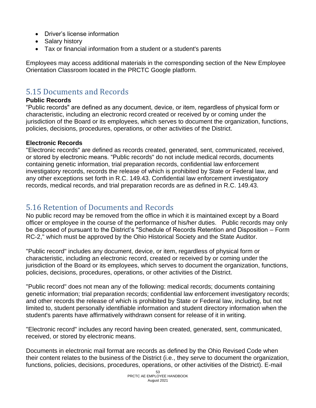- Driver's license information
- Salary history
- Tax or financial information from a student or a student's parents

Employees may access additional materials in the corresponding section of the New Employee Orientation Classroom located in the PRCTC Google platform.

### 5.15 Documents and Records

#### **Public Records**

"Public records" are defined as any document, device, or item, regardless of physical form or characteristic, including an electronic record created or received by or coming under the jurisdiction of the Board or its employees, which serves to document the organization, functions, policies, decisions, procedures, operations, or other activities of the District.

#### **Electronic Records**

"Electronic records" are defined as records created, generated, sent, communicated, received, or stored by electronic means. "Public records" do not include medical records, documents containing genetic information, trial preparation records, confidential law enforcement investigatory records, records the release of which is prohibited by State or Federal law, and any other exceptions set forth in R.C. 149.43. Confidential law enforcement investigatory records, medical records, and trial preparation records are as defined in R.C. 149.43.

### 5.16 Retention of Documents and Records

No public record may be removed from the office in which it is maintained except by a Board officer or employee in the course of the performance of his/her duties. Public records may only be disposed of pursuant to the District's "Schedule of Records Retention and Disposition – Form RC-2," which must be approved by the Ohio Historical Society and the State Auditor.

"Public record" includes any document, device, or item, regardless of physical form or characteristic, including an electronic record, created or received by or coming under the jurisdiction of the Board or its employees, which serves to document the organization, functions, policies, decisions, procedures, operations, or other activities of the District.

"Public record" does not mean any of the following: medical records; documents containing genetic information; trial preparation records; confidential law enforcement investigatory records; and other records the release of which is prohibited by State or Federal law, including, but not limited to, student personally identifiable information and student directory information when the student's parents have affirmatively withdrawn consent for release of it in writing.

"Electronic record" includes any record having been created, generated, sent, communicated, received, or stored by electronic means.

Documents in electronic mail format are records as defined by the Ohio Revised Code when their content relates to the business of the District (i.e., they serve to document the organization, functions, policies, decisions, procedures, operations, or other activities of the District). E-mail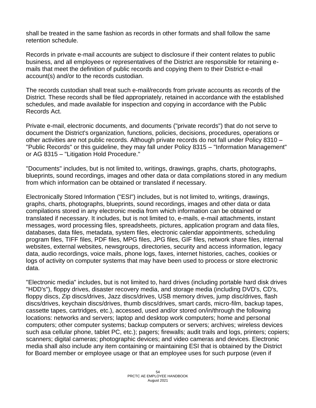shall be treated in the same fashion as records in other formats and shall follow the same retention schedule.

Records in private e-mail accounts are subject to disclosure if their content relates to public business, and all employees or representatives of the District are responsible for retaining emails that meet the definition of public records and copying them to their District e-mail account(s) and/or to the records custodian.

The records custodian shall treat such e-mail/records from private accounts as records of the District. These records shall be filed appropriately, retained in accordance with the established schedules, and made available for inspection and copying in accordance with the Public Records Act.

Private e-mail, electronic documents, and documents ("private records") that do not serve to document the District's organization, functions, policies, decisions, procedures, operations or other activities are not public records. Although private records do not fall under Policy 8310 – "Public Records" or this guideline, they may fall under Policy 8315 – "Information Management" or AG 8315 – "Litigation Hold Procedure."

"Documents" includes, but is not limited to, writings, drawings, graphs, charts, photographs, blueprints, sound recordings, images and other data or data compilations stored in any medium from which information can be obtained or translated if necessary.

Electronically Stored Information ("ESI") includes, but is not limited to, writings, drawings, graphs, charts, photographs, blueprints, sound recordings, images and other data or data compilations stored in any electronic media from which information can be obtained or translated if necessary. It includes, but is not limited to, e-mails, e-mail attachments, instant messages, word processing files, spreadsheets, pictures, application program and data files, databases, data files, metadata, system files, electronic calendar appointments, scheduling program files, TIFF files, PDF files, MPG files, JPG files, GIF files, network share files, internal websites, external websites, newsgroups, directories, security and access information, legacy data, audio recordings, voice mails, phone logs, faxes, internet histories, caches, cookies or logs of activity on computer systems that may have been used to process or store electronic data.

"Electronic media" includes, but is not limited to, hard drives (including portable hard disk drives "HDD's"), floppy drives, disaster recovery media, and storage media (including DVD's, CD's, floppy discs, Zip discs/drives, Jazz discs/drives, USB memory drives, jump disc/drives, flash discs/drives, keychain discs/drives, thumb discs/drives, smart cards, micro-film, backup tapes, cassette tapes, cartridges, etc.), accessed, used and/or stored on/in/through the following locations: networks and servers; laptop and desktop work computers; home and personal computers; other computer systems; backup computers or servers; archives; wireless devices such asa cellular phone, tablet PC, etc.); pagers; firewalls; audit trails and logs, printers; copiers; scanners; digital cameras; photographic devices; and video cameras and devices. Electronic media shall also include any item containing or maintaining ESI that is obtained by the District for Board member or employee usage or that an employee uses for such purpose (even if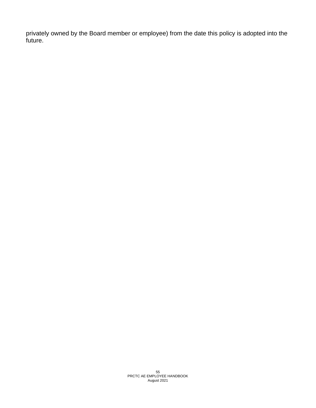privately owned by the Board member or employee) from the date this policy is adopted into the future.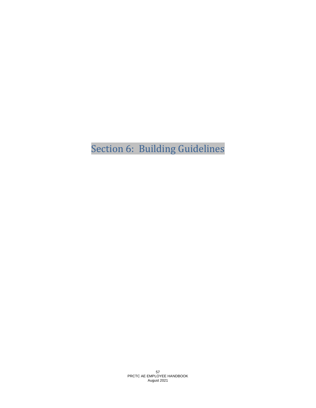Section 6: Building Guidelines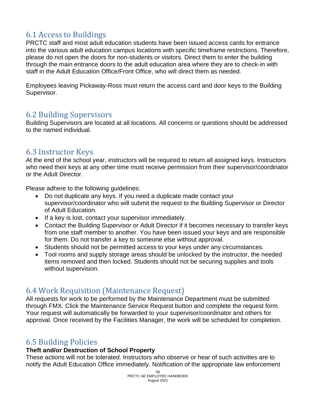# 6.1 Access to Buildings

PRCTC staff and most adult education students have been issued access cards for entrance into the various adult education campus locations with specific timeframe restrictions. Therefore, please do not open the doors for non-students or visitors. Direct them to enter the building through the main entrance doors to the adult education area where they are to check-in with staff in the Adult Education Office/Front Office, who will direct them as needed.

Employees leaving Pickaway-Ross must return the access card and door keys to the Building Supervisor.

### 6.2 Building Supervisors

Building Supervisors are located at all locations. All concerns or questions should be addressed to the named individual.

### 6.3 Instructor Keys

At the end of the school year, instructors will be required to return all assigned keys. Instructors who need their keys at any other time must receive permission from their supervisor/coordinator or the Adult Director.

Please adhere to the following guidelines:

- Do not duplicate any keys. If you need a duplicate made contact your supervisor/coordinator who will submit the request to the Building Supervisor or Director of Adult Education.
- If a key is lost, contact your supervisor immediately.
- Contact the Building Supervisor or Adult Director if it becomes necessary to transfer keys from one staff member to another. You have been issued your keys and are responsible for them. Do not transfer a key to someone else without approval.
- Students should not be permitted access to your keys under any circumstances.
- Tool rooms and supply storage areas should be unlocked by the instructor, the needed items removed and then locked. Students should not be securing supplies and tools without supervision.

# 6.4 Work Requisition (Maintenance Request)

All requests for work to be performed by the Maintenance Department must be submitted through FMX. Click the Maintenance Service Request button and complete the request form. Your request will automatically be forwarded to your supervisor/coordinator and others for approval. Once received by the Facilities Manager, the work will be scheduled for completion.

### 6.5 Building Policies

#### **Theft and/or Destruction of School Property**

These actions will not be tolerated. Instructors who observe or hear of such activities are to notify the Adult Education Office immediately. Notification of the appropriate law enforcement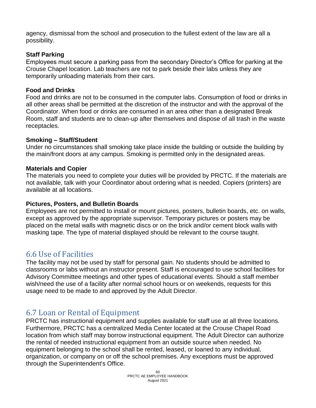agency, dismissal from the school and prosecution to the fullest extent of the law are all a possibility.

#### **Staff Parking**

Employees must secure a parking pass from the secondary Director's Office for parking at the Crouse Chapel location. Lab teachers are not to park beside their labs unless they are temporarily unloading materials from their cars.

#### **Food and Drinks**

Food and drinks are not to be consumed in the computer labs. Consumption of food or drinks in all other areas shall be permitted at the discretion of the instructor and with the approval of the Coordinator. When food or drinks are consumed in an area other than a designated Break Room, staff and students are to clean-up after themselves and dispose of all trash in the waste receptacles.

#### **Smoking – Staff/Student**

Under no circumstances shall smoking take place inside the building or outside the building by the main/front doors at any campus. Smoking is permitted only in the designated areas.

#### **Materials and Copier**

The materials you need to complete your duties will be provided by PRCTC. If the materials are not available, talk with your Coordinator about ordering what is needed. Copiers (printers) are available at all locations.

#### **Pictures, Posters, and Bulletin Boards**

Employees are not permitted to install or mount pictures, posters, bulletin boards, etc. on walls, except as approved by the appropriate supervisor. Temporary pictures or posters may be placed on the metal walls with magnetic discs or on the brick and/or cement block walls with masking tape. The type of material displayed should be relevant to the course taught.

### 6.6 Use of Facilities

The facility may not be used by staff for personal gain. No students should be admitted to classrooms or labs without an instructor present. Staff is encouraged to use school facilities for Advisory Committee meetings and other types of educational events. Should a staff member wish/need the use of a facility after normal school hours or on weekends, requests for this usage need to be made to and approved by the Adult Director.

# 6.7 Loan or Rental of Equipment

PRCTC has instructional equipment and supplies available for staff use at all three locations. Furthermore, PRCTC has a centralized Media Center located at the Crouse Chapel Road location from which staff may borrow instructional equipment. The Adult Director can authorize the rental of needed instructional equipment from an outside source when needed. No equipment belonging to the school shall be rented, leased, or loaned to any individual, organization, or company on or off the school premises. Any exceptions must be approved through the Superintendent's Office.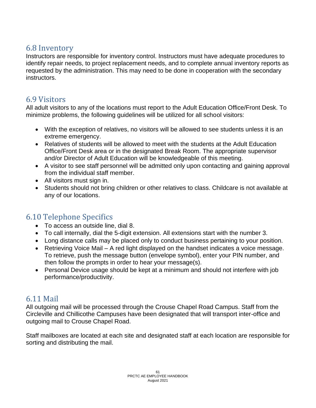# 6.8 Inventory

Instructors are responsible for inventory control. Instructors must have adequate procedures to identify repair needs, to project replacement needs, and to complete annual inventory reports as requested by the administration. This may need to be done in cooperation with the secondary instructors.

### 6.9 Visitors

All adult visitors to any of the locations must report to the Adult Education Office/Front Desk. To minimize problems, the following guidelines will be utilized for all school visitors:

- With the exception of relatives, no visitors will be allowed to see students unless it is an extreme emergency.
- Relatives of students will be allowed to meet with the students at the Adult Education Office/Front Desk area or in the designated Break Room. The appropriate supervisor and/or Director of Adult Education will be knowledgeable of this meeting.
- A visitor to see staff personnel will be admitted only upon contacting and gaining approval from the individual staff member.
- All visitors must sign in.
- Students should not bring children or other relatives to class. Childcare is not available at any of our locations.

# 6.10 Telephone Specifics

- To access an outside line, dial 8.
- To call internally, dial the 5-digit extension. All extensions start with the number 3.
- Long distance calls may be placed only to conduct business pertaining to your position.
- Retrieving Voice Mail A red light displayed on the handset indicates a voice message. To retrieve, push the message button (envelope symbol), enter your PIN number, and then follow the prompts in order to hear your message(s).
- Personal Device usage should be kept at a minimum and should not interfere with job performance/productivity.

# 6.11 Mail

All outgoing mail will be processed through the Crouse Chapel Road Campus. Staff from the Circleville and Chillicothe Campuses have been designated that will transport inter-office and outgoing mail to Crouse Chapel Road.

Staff mailboxes are located at each site and designated staff at each location are responsible for sorting and distributing the mail.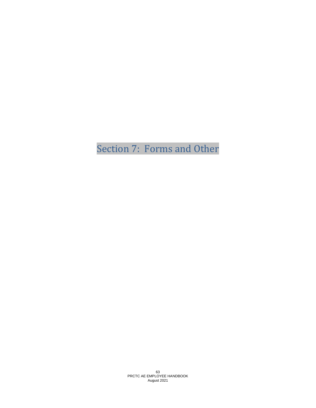Section 7: Forms and Other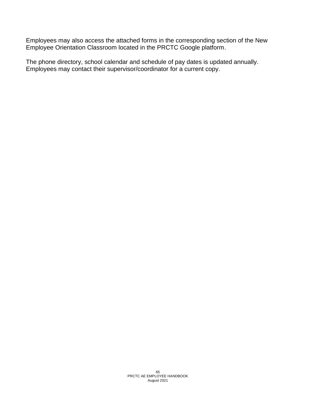Employees may also access the attached forms in the corresponding section of the New Employee Orientation Classroom located in the PRCTC Google platform.

The phone directory, school calendar and schedule of pay dates is updated annually. Employees may contact their supervisor/coordinator for a current copy.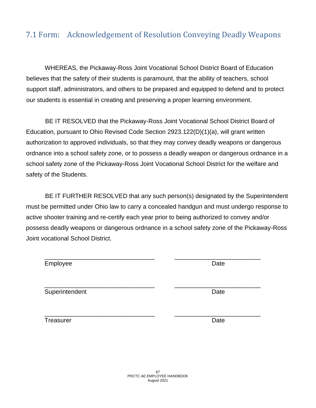# 7.1 Form: Acknowledgement of Resolution Conveying Deadly Weapons

WHEREAS, the Pickaway-Ross Joint Vocational School District Board of Education believes that the safety of their students is paramount, that the ability of teachers, school support staff, administrators, and others to be prepared and equipped to defend and to protect our students is essential in creating and preserving a proper learning environment.

BE IT RESOLVED that the Pickaway-Ross Joint Vocational School District Board of Education, pursuant to Ohio Revised Code Section 2923.122(D)(1)(a), will grant written authorization to approved individuals, so that they may convey deadly weapons or dangerous ordnance into a school safety zone, or to possess a deadly weapon or dangerous ordnance in a school safety zone of the Pickaway-Ross Joint Vocational School District for the welfare and safety of the Students.

BE IT FURTHER RESOLVED that any such person(s) designated by the Superintendent must be permitted under Ohio law to carry a concealed handgun and must undergo response to active shooter training and re-certify each year prior to being authorized to convey and/or possess deadly weapons or dangerous ordnance in a school safety zone of the Pickaway-Ross Joint vocational School District.

\_\_\_\_\_\_\_\_\_\_\_\_\_\_\_\_\_\_\_\_\_\_\_\_\_\_\_\_\_\_\_\_ \_\_\_\_\_\_\_\_\_\_\_\_\_\_\_\_\_\_\_\_\_\_\_\_\_

| Employee       | Date |  |
|----------------|------|--|
|                |      |  |
| Superintendent | Date |  |

Treasurer Date

\_\_\_\_\_\_\_\_\_\_\_\_\_\_\_\_\_\_\_\_\_\_\_\_\_\_\_\_\_\_\_\_ \_\_\_\_\_\_\_\_\_\_\_\_\_\_\_\_\_\_\_\_\_\_\_\_\_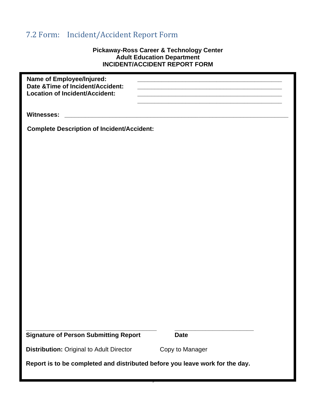# 7.2 Form: Incident/Accident Report Form

#### **Pickaway-Ross Career & Technology Center Adult Education Department INCIDENT/ACCIDENT REPORT FORM**

| Name of Employee/Injured:<br>Date & Time of Incident/Accident:<br><b>Location of Incident/Accident:</b> |                 |  |  |
|---------------------------------------------------------------------------------------------------------|-----------------|--|--|
| <b>Witnesses:</b>                                                                                       |                 |  |  |
| <b>Complete Description of Incident/Accident:</b>                                                       |                 |  |  |
|                                                                                                         |                 |  |  |
|                                                                                                         |                 |  |  |
|                                                                                                         |                 |  |  |
|                                                                                                         |                 |  |  |
|                                                                                                         |                 |  |  |
|                                                                                                         |                 |  |  |
|                                                                                                         |                 |  |  |
|                                                                                                         |                 |  |  |
|                                                                                                         |                 |  |  |
|                                                                                                         |                 |  |  |
|                                                                                                         |                 |  |  |
|                                                                                                         |                 |  |  |
|                                                                                                         |                 |  |  |
| <b>Signature of Person Submitting Report</b>                                                            | <b>Date</b>     |  |  |
| <b>Distribution: Original to Adult Director</b>                                                         | Copy to Manager |  |  |
| Report is to be completed and distributed before you leave work for the day.                            |                 |  |  |

August 2021